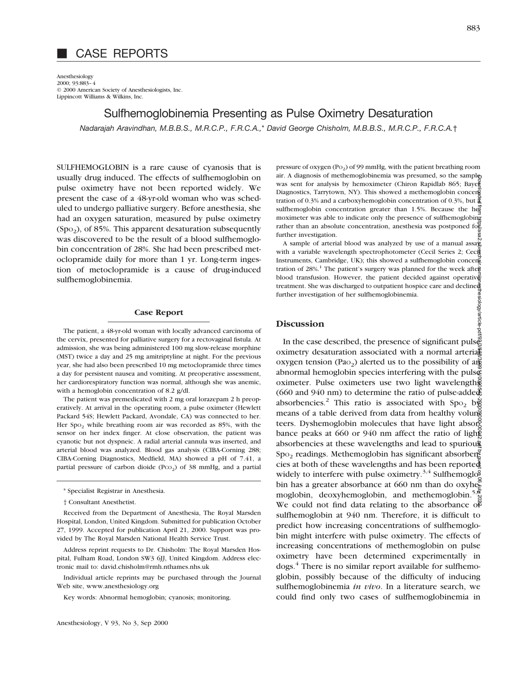# CASE REPORTS

Anesthesiology 2000; 93:883–4 © 2000 American Society of Anesthesiologists, Inc. Lippincott Williams & Wilkins, Inc.

# Sulfhemoglobinemia Presenting as Pulse Oximetry Desaturation

*Nadarajah Aravindhan, M.B.B.S., M.R.C.P., F.R.C.A.,*\* *David George Chisholm, M.B.B.S., M.R.C.P., F.R.C.A.*†

SULFHEMOGLOBIN is a rare cause of cyanosis that is usually drug induced. The effects of sulfhemoglobin on pulse oximetry have not been reported widely. We present the case of a 48-yr-old woman who was scheduled to undergo palliative surgery. Before anesthesia, she had an oxygen saturation, measured by pulse oximetry  $(Spo<sub>2</sub>)$ , of 85%. This apparent desaturation subsequently was discovered to be the result of a blood sulfhemoglobin concentration of 28%. She had been prescribed metoclopramide daily for more than 1 yr. Long-term ingestion of metoclopramide is a cause of drug-induced sulfhemoglobinemia.

#### **Case Report**

The patient, a 48-yr-old woman with locally advanced carcinoma of the cervix, presented for palliative surgery for a rectovaginal fistula. At admission, she was being administered 100 mg slow-release morphine (MST) twice a day and 25 mg amitriptyline at night. For the previous year, she had also been prescribed 10 mg metoclopramide three times a day for persistent nausea and vomiting. At preoperative assessment, her cardiorespiratory function was normal, although she was anemic, with a hemoglobin concentration of 8.2 g/dl.

The patient was premedicated with 2 mg oral lorazepam 2 h preoperatively. At arrival in the operating room, a pulse oximeter (Hewlett Packard 54S; Hewlett Packard, Avondale, CA) was connected to her. Her  $Spo<sub>2</sub>$  while breathing room air was recorded as 85%, with the sensor on her index finger. At close observation, the patient was cyanotic but not dyspneic. A radial arterial cannula was inserted, and arterial blood was analyzed. Blood gas analysis (CIBA-Corning 288; CIBA-Corning Diagnostics, Medfield, MA) showed a pH of 7.41, a partial pressure of carbon dioide (Pco<sub>2</sub>) of 38 mmHg, and a partial

Received from the Department of Anesthesia, The Royal Marsden Hospital, London, United Kingdom. Submitted for publication October 27, 1999. Accepted for publication April 21, 2000. Support was provided by The Royal Marsden National Health Service Trust.

Address reprint requests to Dr. Chisholm: The Royal Marsden Hospital, Fulham Road, London SW3 6JJ, United Kingdom. Address electronic mail to: david.chisholm@rmh.nthames.nhs.uk

Individual article reprints may be purchased through the Journal Web site, www.anesthesiology.org

Key words: Abnormal hemoglobin; cyanosis; monitoring.

pressure of oxygen  $(Po<sub>2</sub>)$  of 99 mmHg, with the patient breathing room air. A diagnosis of methemoglobinemia was presumed, so the sample was sent for analysis by hemoximeter (Chiron Rapidlab 865; Bayer Diagnostics, Tarrytown, NY). This showed a methemoglobin concene tration of 0.3% and a carboxyhemoglobin concentration of 0.3%, but  $\overline{\mathbf{a}}$ sulfhemoglobin concentration greater than 1.5%. Because the  $h\overrightarrow{E}$ moximeter was able to indicate only the presence of sulfhemoglobing rather than an absolute concentration, anesthesia was postponed for further investigation.

A sample of arterial blood was analyzed by use of a manual assage with a variable wavelength spectrophotometer (Cecil Series 2; Cecil Instruments, Cambridge, UK); this showed a sulfhemoglobin concen tration of  $28\%$ .<sup>1</sup> The patient's surgery was planned for the week after blood transfusion. However, the patient decided against operative treatment. She was discharged to outpatient hospice care and declined further investigation of her sulfhemoglobinemia. esiology/article-pdf/

## **Discussion**

In the case described, the presence of significant pulses oximetry desaturation associated with a normal arterial oxygen tension (Pao<sub>2</sub>) alerted us to the possibility of ang abnormal hemoglobin species interfering with the pulse oximeter. Pulse oximeters use two light wavelengths (660 and 940 nm) to determine the ratio of pulse-added absorbencies.<sup>2</sup> This ratio is associated with  $Spo<sub>2</sub>$  by means of a table derived from data from healthy volung teers. Dyshemoglobin molecules that have light absorgerbance peaks at 660 or 940 nm affect the ratio of light absorbencies at these wavelengths and lead to spurious  $Spo<sub>2</sub>$  readings. Methemoglobin has significant absorbencies at both of these wavelengths and has been reported widely to interfere with pulse oximetry.<sup>3,4</sup> Sulfhemoglo $\beta$ bin has a greater absorbance at 660 nm than do oxyhego moglobin, deoxyhemoglobin, and methemoglobin.<sup>5,6</sup> We could not find data relating to the absorbance of sulfhemoglobin at 940 nm. Therefore, it is difficult to predict how increasing concentrations of sulfhemoglobin might interfere with pulse oximetry. The effects of increasing concentrations of methemoglobin on pulse oximetry have been determined experimentally in dogs.4 There is no similar report available for sulfhemoglobin, possibly because of the difficulty of inducing sulfhemoglobinemia *in vivo*. In a literature search, we could find only two cases of sulfhemoglobinemia in Downloaded from http://asa2.silverchair.com/anesthesiology/article-pdf/93/3/888/399914/0000542-200009000-00042.pdf by guest on 06 July 2022

<sup>\*</sup> Specialist Registrar in Anesthesia.

<sup>†</sup> Consultant Anesthetist.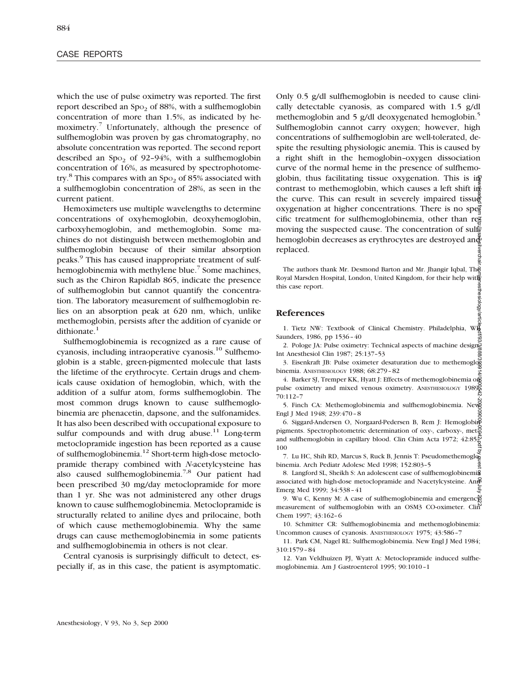which the use of pulse oximetry was reported. The first report described an Spo<sub>2</sub> of 88%, with a sulfhemoglobin concentration of more than 1.5%, as indicated by hemoximetry.7 Unfortunately, although the presence of sulfhemoglobin was proven by gas chromatography, no absolute concentration was reported. The second report described an  $Spo<sub>2</sub>$  of 92–94%, with a sulfhemoglobin concentration of 16%, as measured by spectrophotometry.<sup>8</sup> This compares with an  $Spo<sub>2</sub>$  of 85% associated with a sulfhemoglobin concentration of 28%, as seen in the current patient.

Hemoximeters use multiple wavelengths to determine concentrations of oxyhemoglobin, deoxyhemoglobin, carboxyhemoglobin, and methemoglobin. Some machines do not distinguish between methemoglobin and sulfhemoglobin because of their similar absorption peaks.9 This has caused inappropriate treatment of sulfhemoglobinemia with methylene blue.<sup>7</sup> Some machines, such as the Chiron Rapidlab 865, indicate the presence of sulfhemoglobin but cannot quantify the concentration. The laboratory measurement of sulfhemoglobin relies on an absorption peak at 620 nm, which, unlike methemoglobin, persists after the addition of cyanide or dithionate.<sup>1</sup>

Sulfhemoglobinemia is recognized as a rare cause of cyanosis, including intraoperative cyanosis.10 Sulfhemoglobin is a stable, green-pigmented molecule that lasts the lifetime of the erythrocyte. Certain drugs and chemicals cause oxidation of hemoglobin, which, with the addition of a sulfur atom, forms sulfhemoglobin. The most common drugs known to cause sulfhemoglobinemia are phenacetin, dapsone, and the sulfonamides. It has also been described with occupational exposure to sulfur compounds and with drug abuse. $11$  Long-term metoclopramide ingestion has been reported as a cause of sulfhemoglobinemia.12 Short-term high-dose metoclopramide therapy combined with *N*-acetylcysteine has also caused sulfhemoglobinemia.7,8 Our patient had been prescribed 30 mg/day metoclopramide for more than 1 yr. She was not administered any other drugs known to cause sulfhemoglobinemia. Metoclopramide is structurally related to aniline dyes and prilocaine, both of which cause methemoglobinemia. Why the same drugs can cause methemoglobinemia in some patients and sulfhemoglobinemia in others is not clear.

Central cyanosis is surprisingly difficult to detect, especially if, as in this case, the patient is asymptomatic.

Only 0.5 g/dl sulfhemoglobin is needed to cause clinically detectable cyanosis, as compared with 1.5 g/dl methemoglobin and 5 g/dl deoxygenated hemoglobin.<sup>5</sup> Sulfhemoglobin cannot carry oxygen; however, high concentrations of sulfhemoglobin are well-tolerated, despite the resulting physiologic anemia. This is caused by a right shift in the hemoglobin–oxygen dissociation curve of the normal heme in the presence of sulfhemoglobin, thus facilitating tissue oxygenation. This is in contrast to methemoglobin, which causes a left shift in the curve. This can result in severely impaired tissu $\delta$ oxygenation at higher concentrations. There is no spe $\vec{e}$ cific treatment for sulfhemoglobinemia, other than  $r \in \mathbb{R}$ moving the suspected cause. The concentration of sulfhemoglobin decreases as erythrocytes are destroyed and replaced. Downloaded from http://asa2.silverchair.com/anesthesiology/article-pdf/93/3/888/399914/0000542-200009000-00042.pdf by guest on 06 July 2022

The authors thank Mr. Desmond Barton and Mr. Jhangir Iqbal, The Royal Marsden Hospital, London, United Kingdom, for their help with this case report.

# **References**

1. Tietz NW: Textbook of Clinical Chemistry. Philadelphia, WB Saunders, 1986, pp 1536–40

2. Pologe JA: Pulse oximetry: Technical aspects of machine design. Int Anesthesiol Clin 1987; 25:137–53

3. Eisenkraft JB: Pulse oximeter desaturation due to methemoglog binemia. ANESTHESIOLOGY 1988; 68:279–82

4. Barker SJ, Tremper KK, Hyatt J: Effects of methemoglobinemia on pulse oximetry and mixed venous oximetry. ANESTHESIOLOGY 1989 70:112–7

5. Finch CA: Methemoglobinemia and sulfhemoglobinemia. New Engl J Med 1948; 239:470–8

6. Siggard-Andersen O, Norgaard-Pedersen B, Rem J: Hemoglobin pigments. Spectrophotometric determination of oxy-, carboxy-, met $\tilde{g}$ and sulfhemoglobin in capillary blood. Clin Chim Acta 1972;  $42.85\frac{16}{8}$ 100

7. Lu HC, Shih RD, Marcus S, Ruck B, Jennis T: Pseudomethemoglobinemia. Arch Pediatr Adolesc Med 1998; 152:803–5

8. Langford SL, Sheikh S: An adolescent case of sulfhemoglobinemis associated with high-dose metoclopramide and N-acetylcysteine. Ann Emerg Med 1999; 34:538–41

9. Wu C, Kenny M: A case of sulfhemoglobinemia and emergency measurement of sulfhemoglobin with an OSM3 CO-oximeter. Clin Chem 1997; 43:162–6

10. Schmitter CR: Sulfhemoglobinemia and methemoglobinemia: Uncommon causes of cyanosis. ANESTHESIOLOGY 1975; 43:586–7

11. Park CM, Nagel RL: Sulfhemoglobinemia. New Engl J Med 1984; 310:1579–84

12. Van Veldhuizen PJ, Wyatt A: Metoclopramide induced sulfhemoglobinemia. Am J Gastroenterol 1995; 90:1010–1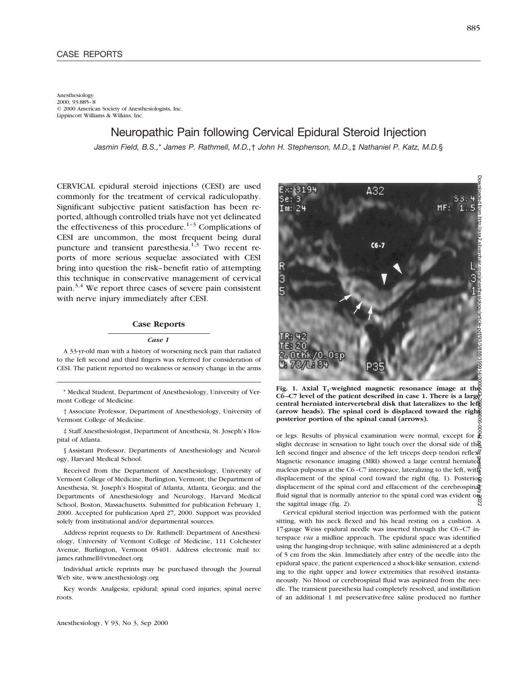#### Anesthesiology 2000; 93:885–8 © 2000 American Society of Anesthesiologists, Inc. Lippincott Williams & Wilkins, Inc.

Neuropathic Pain following Cervical Epidural Steroid Injection

*Jasmin Field, B.S.,*\* *James P. Rathmell, M.D.,*† *John H. Stephenson, M.D.,*‡ *Nathaniel P. Katz, M.D.*§

CERVICAL epidural steroid injections (CESI) are used commonly for the treatment of cervical radiculopathy. Significant subjective patient satisfaction has been reported, although controlled trials have not yet delineated the effectiveness of this procedure.<sup>1-3</sup> Complications of CESI are uncommon, the most frequent being dural puncture and transient paresthesia. $1,3$  Two recent reports of more serious sequelae associated with CESI bring into question the risk–benefit ratio of attempting this technique in conservative management of cervical pain.<sup>3,4</sup> We report three cases of severe pain consistent with nerve injury immediately after CESI.

#### **Case Reports**

#### *Case 1*

A 33-yr-old man with a history of worsening neck pain that radiated to the left second and third fingers was referred for consideration of CESI. The patient reported no weakness or sensory change in the arms

\* Medical Student, Department of Anesthesiology, University of Vermont College of Medicine.

† Associate Professor, Department of Anesthesiology, University of Vermont College of Medicine.

‡ Staff Anesthesiologist, Department of Anesthesia, St. Joseph's Hospital of Atlanta.

§ Assistant Professor, Departments of Anesthesiology and Neurology, Harvard Medical School.

Received from the Department of Anesthesiology, University of Vermont College of Medicine, Burlington, Vermont; the Department of Anesthesia, St. Joseph's Hospital of Atlanta, Atlanta, Georgia; and the Departments of Anesthesiology and Neurology, Harvard Medical School, Boston, Massachusetts. Submitted for publication February 1, 2000. Accepted for publication April 27, 2000. Support was provided solely from institutional and/or departmental sources.

Address reprint requests to Dr. Rathmell: Department of Anesthesiology, University of Vermont College of Medicine, 111 Colchester Avenue, Burlington, Vermont 05401. Address electronic mail to: james.rathmell@vtmednet.org

Individual article reprints may be purchased through the Journal Web site, www.anesthesiology.org

Key words: Analgesia; epidural; spinal cord injuries; spinal nerve roots.

Downloaded from http://asa2.silverchair.com/anesthesiology/article-pdf/93/3/888/399914/0000542-200009000-00042.pdf by guest on 06 July 202278/LIS4 Fig. 1. Axial T<sub>1</sub>-weighted magnetic resonance image at the **C6–C7 level of the patient described in case 1. There is a large central herniated intervertebral disk that lateralizes to the left**

or legs. Results of physical examination were normal, except for  $\frac{1}{\sqrt{2}}$ slight decrease in sensation to light touch over the dorsal side of the left second finger and absence of the left triceps deep tendon reflex. Magnetic resonance imaging (MRI) showed a large central herniated nucleus pulposus at the C6–C7 interspace, lateralizing to the left, with displacement of the spinal cord toward the right (fig. 1). Posterior displacement of the spinal cord and effacement of the cerebrospinal fluid signal that is normally anterior to the spinal cord was evident one the sagittal image (fig. 2).

(arrow heads). The spinal cord is displaced toward the right

**posterior portion of the spinal canal (arrows).**

Cervical epidural steriod injection was performed with the patient sitting, with his neck flexed and his head resting on a cushion. A 17-gauge Weiss epidural needle was inserted through the C6–C7 interspace *via* a midline approach. The epidural space was identified using the hanging-drop technique, with saline administered at a depth of 5 cm from the skin. Immediately after entry of the needle into the epidural space, the patient experienced a shock-like sensation, extending to the right upper and lower extremities that resolved instantaneously. No blood or cerebrospinal fluid was aspirated from the needle. The transient paresthesia had completely resolved, and instillation of an additional 1 ml preservative-free saline produced no further



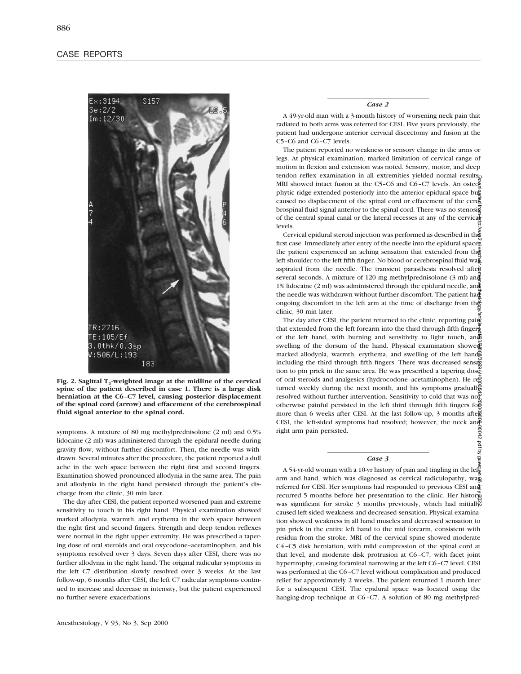

Fig. 2. Sagittal T<sub>2</sub>-weighted image at the midline of the cervical **spine of the patient described in case 1. There is a large disk herniation at the C6–C7 level, causing posterior displacement of the spinal cord (arrow) and effacement of the cerebrospinal fluid signal anterior to the spinal cord.**

symptoms. A mixture of 80 mg methylprednisolone (2 ml) and 0.5% lidocaine (2 ml) was administered through the epidural needle during gravity flow, without further discomfort. Then, the needle was withdrawn. Several minutes after the procedure, the patient reported a dull ache in the web space between the right first and second fingers. Examination showed pronounced allodynia in the same area. The pain and allodynia in the right hand persisted through the patient's discharge from the clinic, 30 min later.

The day after CESI, the patient reported worsened pain and extreme sensitivity to touch in his right hand. Physical examination showed marked allodynia, warmth, and erythema in the web space between the right first and second fingers. Strength and deep tendon reflexes were normal in the right upper extremity. He was prescribed a tapering dose of oral steroids and oral oxycodone–acetaminophen, and his symptoms resolved over 3 days. Seven days after CESI, there was no further allodynia in the right hand. The original radicular symptoms in the left C7 distribution slowly resolved over 3 weeks. At the last follow-up, 6 months after CESI, the left C7 radicular symptoms continued to increase and decrease in intensity, but the patient experienced no further severe exacerbations.

*Case 2*

A 49-yr-old man with a 3-month history of worsening neck pain that radiated to both arms was referred for CESI. Five years previously, the patient had undergone anterior cervical discectomy and fusion at the C5–C6 and C6–C7 levels.

The patient reported no weakness or sensory change in the arms or legs. At physical examination, marked limitation of cervical range of motion in flexion and extension was noted. Sensory, motor, and deep tendon reflex examination in all extremities yielded normal results MRI showed intact fusion at the C5–C6 and C6–C7 levels. An osteor phytic ridge extended posteriorly into the anterior epidural space bus caused no displacement of the spinal cord or effacement of the cere $\bar{E}$ brospinal fluid signal anterior to the spinal cord. There was no stenosis of the central spinal canal or the lateral recesses at any of the cervical levels.

Cervical epidural steroid injection was performed as described in the first case. Immediately after entry of the needle into the epidural space the patient experienced an aching sensation that extended from the left shoulder to the left fifth finger. No blood or cerebrospinal fluid was aspirated from the needle. The transient parasthesia resolved after several seconds. A mixture of 120 mg methylprednisolone (3 ml) and 1% lidocaine (2 ml) was administered through the epidural needle, and the needle was withdrawn without further discomfort. The patient had ongoing discomfort in the left arm at the time of discharge from the clinic, 30 min later.

The day after CESI, the patient returned to the clinic, reporting paint that extended from the left forearm into the third through fifth fingers of the left hand, with burning and sensitivity to light touch, and swelling of the dorsum of the hand. Physical examination showed marked allodynia, warmth, erythema, and swelling of the left hand including the third through fifth fingers. There was decreased sensaged tion to pin prick in the same area. He was prescribed a tapering dose of oral steroids and analgesics (hydrocodone-acetaminophen). He reg turned weekly during the next month, and his symptoms gradually resolved without further intervention. Sensitivity to cold that was not otherwise painful persisted in the left third through fifth fingers for more than 6 weeks after CESI. At the last follow-up, 3 months after CESI, the left-sided symptoms had resolved; however, the neck and right arm pain persisted. Downloaded from http://asa2.silverchair.com/anesthesiology/article-pdf/93/3/888/399914/0000542-200009000-00042.pdf by guest on 06 July 2022

#### *Case 3*

A 54-yr-old woman with a 10-yr history of pain and tingling in the left arm and hand, which was diagnosed as cervical radiculopathy, was referred for CESI. Her symptoms had responded to previous CESI and recurred 5 months before her presentation to the clinic. Her history was significant for stroke 3 months previously, which had initially caused left-sided weakness and decreased sensation. Physical examination showed weakness in all hand muscles and decreased sensation to pin prick in the entire left hand to the mid forearm, consistent with residua from the stroke. MRI of the cervical spine showed moderate C4–C5 disk herniation, with mild compression of the spinal cord at that level, and moderate disk protrusion at C6–C7, with facet joint hypertrophy, causing foraminal narrowing at the left C6–C7 level. CESI was performed at the C6–C7 level without complication and produced relief for approximately 2 weeks. The patient returned 1 month later for a subsequent CESI. The epidural space was located using the hanging-drop technique at C6–C7. A solution of 80 mg methylpred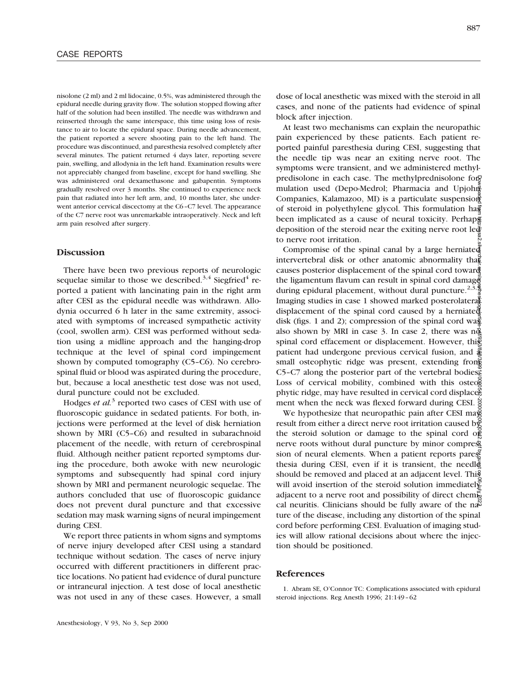nisolone (2 ml) and 2 ml lidocaine, 0.5%, was administered through the epidural needle during gravity flow. The solution stopped flowing after half of the solution had been instilled. The needle was withdrawn and reinserted through the same interspace, this time using loss of resistance to air to locate the epidural space. During needle advancement, the patient reported a severe shooting pain to the left hand. The procedure was discontinued, and paresthesia resolved completely after several minutes. The patient returned 4 days later, reporting severe pain, swelling, and allodynia in the left hand. Examination results were not appreciably changed from baseline, except for hand swelling. She was administered oral dexamethasone and gabapentin. Symptoms gradually resolved over 3 months. She continued to experience neck pain that radiated into her left arm, and, 10 months later, she underwent anterior cervical discectomy at the C6–C7 level. The appearance of the C7 nerve root was unremarkable intraoperatively. Neck and left arm pain resolved after surgery.

# **Discussion**

There have been two previous reports of neurologic sequelae similar to those we described.<sup>3,4</sup> Siegfried<sup>4</sup> reported a patient with lancinating pain in the right arm after CESI as the epidural needle was withdrawn. Allodynia occurred 6 h later in the same extremity, associated with symptoms of increased sympathetic activity (cool, swollen arm). CESI was performed without sedation using a midline approach and the hanging-drop technique at the level of spinal cord impingement shown by computed tomography (C5–C6). No cerebrospinal fluid or blood was aspirated during the procedure, but, because a local anesthetic test dose was not used, dural puncture could not be excluded.

Hodges *et al.*<sup>3</sup> reported two cases of CESI with use of fluoroscopic guidance in sedated patients. For both, injections were performed at the level of disk herniation shown by MRI (C5–C6) and resulted in subarachnoid placement of the needle, with return of cerebrospinal fluid. Although neither patient reported symptoms during the procedure, both awoke with new neurologic symptoms and subsequently had spinal cord injury shown by MRI and permanent neurologic sequelae. The authors concluded that use of fluoroscopic guidance does not prevent dural puncture and that excessive sedation may mask warning signs of neural impingement during CESI.

We report three patients in whom signs and symptoms of nerve injury developed after CESI using a standard technique without sedation. The cases of nerve injury occurred with different practitioners in different practice locations. No patient had evidence of dural puncture or intraneural injection. A test dose of local anesthetic was not used in any of these cases. However, a small dose of local anesthetic was mixed with the steroid in all cases, and none of the patients had evidence of spinal block after injection.

At least two mechanisms can explain the neuropathic pain experienced by these patients. Each patient reported painful paresthesia during CESI, suggesting that the needle tip was near an exiting nerve root. The symptoms were transient, and we administered methylpredisolone in each case. The methylprednisolone for mulation used (Depo-Medrol; Pharmacia and Upjohn Companies, Kalamazoo, MI) is a particulate suspension of steroid in polyethylene glycol. This formulation has been implicated as a cause of neural toxicity. Perhaps deposition of the steroid near the exiting nerve root led to nerve root irritation.

Compromise of the spinal canal by a large herniated intervertebral disk or other anatomic abnormality that causes posterior displacement of the spinal cord toward the ligamentum flavum can result in spinal cord damage during epidural placement, without dural puncture.<sup>2,3,5</sup> Imaging studies in case 1 showed marked posterolateral. displacement of the spinal cord caused by a herniated disk (figs. 1 and 2); compression of the spinal cord was also shown by MRI in case 3. In case 2, there was  $n\underline{\ddot{\alpha}}$ spinal cord effacement or displacement. However, this patient had undergone previous cervical fusion, and  $\frac{36}{100}$ small osteophytic ridge was present, extending from C5–C7 along the posterior part of the vertebral bodies. Loss of cervical mobility, combined with this osteo $\frac{3}{2}$ phytic ridge, may have resulted in cervical cord displaces ment when the neck was flexed forward during CESI. Downloaded from http://asa2.silverchair.com/anesthesiology/article-pdf/93/3/888/399914/0000542-200009000-00042.pdf by guest on 06 July 2022

We hypothesize that neuropathic pain after CESI mag result from either a direct nerve root irritation caused by the steroid solution or damage to the spinal cord of nerve roots without dural puncture by minor compression of neural elements. When a patient reports paresthesia during CESI, even if it is transient, the needle should be removed and placed at an adjacent level. This will avoid insertion of the steroid solution immediately adjacent to a nerve root and possibility of direct chemical neuritis. Clinicians should be fully aware of the na $\mathbb{R}^2$ ture of the disease, including any distortion of the spinal cord before performing CESI. Evaluation of imaging studies will allow rational decisions about where the injection should be positioned.

#### **References**

1. Abram SE, O'Connor TC: Complications associated with epidural steroid injections. Reg Anesth 1996; 21:149–62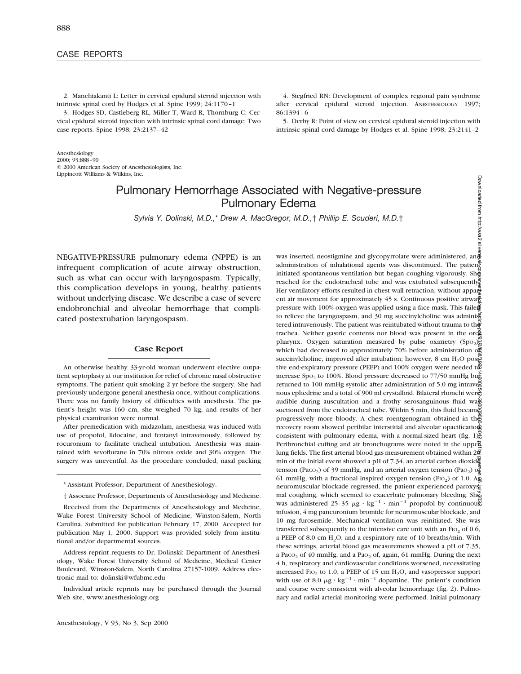## CASE REPORTS

2. Manchiakanti L: Letter in cervical epidural steroid injection with intrinsic spinal cord by Hodges et al. Spine 1999; 24:1170–1

3. Hodges SD, Castleberg RL, Miller T, Ward R, Thornburg C: Cervical epidural steroid injection with intrinsic spinal cord damage: Two case reports. Spine 1998; 23:2137–42

Anesthesiology 2000; 93:888–90 © 2000 American Society of Anesthesiologists, Inc. Lippincott Williams & Wilkins, Inc.

cated postextubation laryngospasm.

4. Siegfried RN: Development of complex regional pain syndrome after cervical epidural steroid injection. ANESTHESIOLOGY 1997; 86:1394–6

5. Derby R: Point of view on cervical epidural steroid injection with intrinsic spinal cord damage by Hodges et al. Spine 1998; 23:2141–2

# Downloaded from http://asa2.silve Downloaded from http://asa2.silverehair.com/anesthesiology/article-pdf/93/3/8/88/892.pdf/89900-00042.pdf by guest on 06 July 2022.pdf by god Pulmonary Hemorrhage Associated with Negative-pressure *Sylvia Y. Dolinski, M.D.,*\* *Drew A. MacGregor, M.D.,*† *Phillip E. Scuderi, M.D.*† was inserted, neostigmine and glycopyrrolate were administered, and Peribronchial cuffing and air bronchograms were noted in the upper lung fields. The first arterial blood gas measurement obtained within  $2\mathfrak{F}$ min of the initial event showed a pH of  $7.34$ , an arterial carbon dioxides tension (Paco<sub>2</sub>) of 39 mmHg, and an arterial oxygen tension (Pao<sub>2</sub>) of 61 mmHg, with a fractional inspired oxygen tension (F<sub>IO<sub>2</sub>) of 1.0. As</sub> neuromuscular blockade regressed, the patient experienced paroxysing mal coughing, which seemed to exacerbate pulmonary bleeding. She was administered 25-35  $\mu$ g · kg<sup>-1</sup> · min<sup>-1</sup> propofol by continuous infusion, 4 mg pancuronium bromide for neuromuscular blockade, and 10 mg furosemide. Mechanical ventilation was reinitiated. She was transferred subsequently to the intensive care unit with an  $F10<sub>2</sub>$  of 0.6, a PEEP of 8.0 cm  $H_2O$ , and a respiratory rate of 10 breaths/min. With these settings, arterial blood gas measurements showed a pH of 7.35, a Paco<sub>2</sub> of 40 mmHg, and a Pao<sub>2</sub> of, again, 61 mmHg. During the next 4 h, respiratory and cardiovascular conditions worsened, necessitating

NEGATIVE-PRESSURE pulmonary edema (NPPE) is an infrequent complication of acute airway obstruction, such as what can occur with laryngospasm. Typically, this complication develops in young, healthy patients without underlying disease. We describe a case of severe

Pulmonary Edema

#### **Case Report**

An otherwise healthy 33-yr-old woman underwent elective outpatient septoplasty at our institution for relief of chronic nasal obstructive symptoms. The patient quit smoking 2 yr before the surgery. She had previously undergone general anesthesia once, without complications. There was no family history of difficulties with anesthesia. The patient's height was 160 cm, she weighed 70 kg, and results of her physical examination were normal.

After premedication with midazolam, anesthesia was induced with use of propofol, lidocaine, and fentanyl intravenously, followed by rocuronium to facilitate tracheal intubation. Anesthesia was maintained with sevoflurane in 70% nitrous oxide and 30% oxygen. The surgery was uneventful. As the procedure concluded, nasal packing

Address reprint requests to Dr. Dolinski: Department of Anesthesiology, Wake Forest University School of Medicine, Medical Center Boulevard, Winston-Salem, North Carolina 27157-1009. Address electronic mail to: dolinski@wfubmc.edu

Individual article reprints may be purchased through the Journal Web site, www.anesthesiology.org

endobronchial and alveolar hemorrhage that compliadministration of inhalational agents was discontinued. The patient initiated spontaneous ventilation but began coughing vigorously. She reached for the endotracheal tube and was extubated subsequently. Her ventilatory efforts resulted in chest wall retraction, without apparent air movement for approximately 45 s. Continuous positive airways pressure with 100% oxygen was applied using a face mask. This failed to relieve the laryngospasm, and 30 mg succinylcholine was administered intravenously. The patient was reintubated without trauma to the trachea. Neither gastric contents nor blood was present in the orogy pharynx. Oxygen saturation measured by pulse oximetry (Spo<sub>2</sub>), which had decreased to approximately 70% before administration of succinylcholine, improved after intubation; however, 8 cm H<sub>2</sub>O posi<sup>5</sup> tive end-expiratory pressure (PEEP) and 100% oxygen were needed to increase Spo<sub>2</sub> to 100%. Blood pressure decreased to 77/50 mmHg but returned to 100 mmHg systolic after administration of 5.0 mg intraves nous ephedrine and a total of 900 ml crystalloid. Bilateral rhonchi were audible during auscultation and a frothy serosanguinous fluid was suctioned from the endotracheal tube. Within 5 min, this fluid became progressively more bloody. A chest roentgenogram obtained in the recovery room showed perihilar interstitial and alveolar opacification consistent with pulmonary edema, with a normal-sized heart (fig.  $1\frac{15}{10}$ ).

> increased F<sub>IO<sub>2</sub></sub> to 1.0, a PEEP of 15 cm H<sub>2</sub>O, and vasopressor support with use of 8.0  $\mu$ g · kg<sup>-1</sup> · min<sup>-1</sup> dopamine. The patient's condition and course were consistent with alveolar hemorrhage (fig. 2). Pulmonary and radial arterial monitoring were performed. Initial pulmonary

<sup>\*</sup> Assistant Professor, Department of Anesthesiology.

<sup>†</sup> Associate Professor, Departments of Anesthesiology and Medicine.

Received from the Departments of Anesthesiology and Medicine, Wake Forest University School of Medicine, Winston-Salem, North Carolina. Submitted for publication February 17, 2000. Accepted for publication May 1, 2000. Support was provided solely from institutional and/or departmental sources.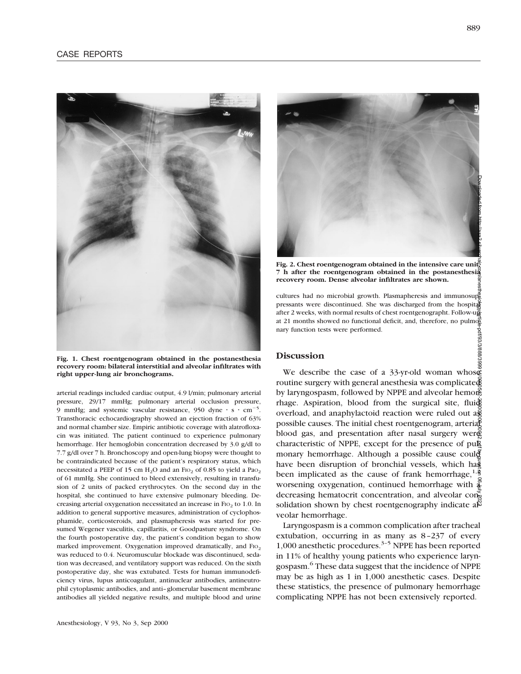

**Fig. 1. Chest roentgenogram obtained in the postanesthesia recovery room: bilateral interstitial and alveolar infiltrates with right upper-lung air bronchograms.**

arterial readings included cardiac output, 4.9 l/min; pulmonary arterial pressure, 29/17 mmHg; pulmonary arterial occlusion pressure, 9 mmHg; and systemic vascular resistance, 950 dyne  $\cdot$  s  $\cdot$  cm<sup>-5</sup>. Transthoracic echocardiography showed an ejection fraction of 63% and normal chamber size. Empiric antibiotic coverage with alatrofloxacin was initiated. The patient continued to experience pulmonary hemorrhage. Her hemoglobin concentration decreased by 3.0 g/dl to 7.7 g/dl over 7 h. Bronchoscopy and open-lung biopsy were thought to be contraindicated because of the patient's respiratory status, which necessitated a PEEP of 15 cm  $H_2O$  and an FIO<sub>2</sub> of 0.85 to yield a PaO<sub>2</sub> of 61 mmHg. She continued to bleed extensively, resulting in transfusion of 2 units of packed erythrocytes. On the second day in the hospital, she continued to have extensive pulmonary bleeding. Decreasing arterial oxygenation necessitated an increase in FIO<sub>2</sub> to 1.0. In addition to general supportive measures, administration of cyclophosphamide, corticosteroids, and plasmapheresis was started for presumed Wegener vasculitis, capillaritis, or Goodpasture syndrome. On the fourth postoperative day, the patient's condition began to show marked improvement. Oxygenation improved dramatically, and FIO<sub>2</sub> was reduced to 0.4. Neuromuscular blockade was discontinued, sedation was decreased, and ventilatory support was reduced. On the sixth postoperative day, she was extubated. Tests for human immunodeficiency virus, lupus anticoagulant, antinuclear antibodies, antineutrophil cytoplasmic antibodies, and anti–glomerular basement membrane antibodies all yielded negative results, and multiple blood and urine



**Fig. 2. Chest roentgenogram obtained in the intensive care unit, 7 h after the roentgenogram obtained in the postanesthesia recovery room. Dense alveolar infiltrates are shown.**

cultures had no microbial growth. Plasmapheresis and immunosuppressants were discontinued. She was discharged from the hospital after 2 weeks, with normal results of chest roentgenographt. Follow-up at 21 months showed no functional deficit, and, therefore, no pulmonary function tests were performed. bdf/93/3/888/29999

#### **Discussion**

We describe the case of a 33-yr-old woman whose routine surgery with general anesthesia was complicated by laryngospasm, followed by NPPE and alveolar hemorgenrhage. Aspiration, blood from the surgical site, fluid overload, and anaphylactoid reaction were ruled out  $a\tilde{g}$ possible causes. The initial chest roentgenogram, arterial blood gas, and presentation after nasal surgery were characteristic of NPPE, except for the presence of pulamonary hemorrhage. Although a possible cause could have been disruption of bronchial vessels, which has been implicated as the cause of frank hemorrhage,  $1, \frac{9}{2}$ worsening oxygenation, continued hemorrhage with  $\frac{3}{4}$ decreasing hematocrit concentration, and alveolar con $\overline{\xi}$ solidation shown by chest roentgenography indicate a $\mathbb{R}^2$ veolar hemorrhage. Downloaded from http://asa2.silverchair.com/anesthesiology/article-pdf/93/3/888/399914/0000542-200009000-00042.pdf by guest on 06 July 2022

Laryngospasm is a common complication after tracheal extubation, occurring in as many as 8–237 of every 1,000 anesthetic procedures.3–5 NPPE has been reported in 11% of healthy young patients who experience laryngospasm.6 These data suggest that the incidence of NPPE may be as high as 1 in 1,000 anesthetic cases. Despite these statistics, the presence of pulmonary hemorrhage complicating NPPE has not been extensively reported.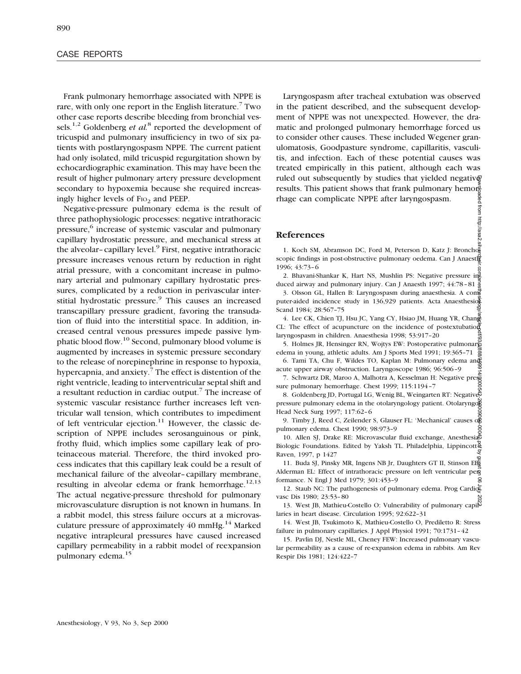Frank pulmonary hemorrhage associated with NPPE is rare, with only one report in the English literature.<sup>7</sup> Two other case reports describe bleeding from bronchial vessels.1,2 Goldenberg *et al.*<sup>8</sup> reported the development of tricuspid and pulmonary insufficiency in two of six patients with postlaryngospasm NPPE. The current patient had only isolated, mild tricuspid regurgitation shown by echocardiographic examination. This may have been the result of higher pulmonary artery pressure development secondary to hypoxemia because she required increasingly higher levels of  $FIO<sub>2</sub>$  and PEEP.

Negative-pressure pulmonary edema is the result of three pathophysiologic processes: negative intrathoracic pressure,<sup>6</sup> increase of systemic vascular and pulmonary capillary hydrostatic pressure, and mechanical stress at the alveolar–capillary level.9 First, negative intrathoracic pressure increases venous return by reduction in right atrial pressure, with a concomitant increase in pulmonary arterial and pulmonary capillary hydrostatic pressures, complicated by a reduction in perivascular interstitial hydrostatic pressure.<sup>9</sup> This causes an increased transcapillary pressure gradient, favoring the transudation of fluid into the interstitial space. In addition, increased central venous pressures impede passive lymphatic blood flow.10 Second, pulmonary blood volume is augmented by increases in systemic pressure secondary to the release of norepinephrine in response to hypoxia, hypercapnia, and anxiety.<sup>7</sup> The effect is distention of the right ventricle, leading to interventricular septal shift and a resultant reduction in cardiac output.<sup>7</sup> The increase of systemic vascular resistance further increases left ventricular wall tension, which contributes to impediment of left ventricular ejection.<sup>11</sup> However, the classic description of NPPE includes serosanguinous or pink, frothy fluid, which implies some capillary leak of proteinaceous material. Therefore, the third invoked process indicates that this capillary leak could be a result of mechanical failure of the alveolar–capillary membrane, resulting in alveolar edema or frank hemorrhage.<sup>12,13</sup> The actual negative-pressure threshold for pulmonary microvasculature disruption is not known in humans. In a rabbit model, this stress failure occurs at a microvasculature pressure of approximately  $40 \text{ mmHg}$ .<sup>14</sup> Marked negative intrapleural pressures have caused increased capillary permeability in a rabbit model of reexpansion pulmonary edema.15

Laryngospasm after tracheal extubation was observed in the patient described, and the subsequent development of NPPE was not unexpected. However, the dramatic and prolonged pulmonary hemorrhage forced us to consider other causes. These included Wegener granulomatosis, Goodpasture syndrome, capillaritis, vasculitis, and infection. Each of these potential causes was treated empirically in this patient, although each was ruled out subsequently by studies that yielded negative Downloaded from http://asa2.silverchair.com/anesthesiology/article-pdf/93/3/888/399914/0000542-200009000-00042.pdf by guest on 06 July 2022results. This patient shows that frank pulmonary hemoraded rhage can complicate NPPE after laryngospasm.

# **References**

1. Koch SM, Abramson DC, Ford M, Peterson D, Katz J: Bronchos scopic findings in post-obstructive pulmonary oedema. Can J Anaesth 1996; 43:73–6

from http://asa2.s

2. Bhavani-Shankar K, Hart NS, Mushlin PS: Negative pressure in $\frac{3}{5}$ duced airway and pulmonary injury. Can J Anaesth 1997; 44:78-81

3. Olsson GL, Hallen B: Laryngospasm during anaesthesia. A com puter-aided incidence study in 136,929 patients. Acta Anaesthesion Scand 1984; 28:567–75

4. Lee CK, Chien TJ, Hsu JC, Yang CY, Hsiao JM, Huang YR, Chang CL: The effect of acupuncture on the incidence of postextubation laryngospasm in children. Anaesthesia 1998; 53:917–20

5. Holmes JR, Hensinger RN, Wojtys EW: Postoperative pulmonary<br>5. Holmes JR, Hensinger RN, Wojtys EW: Postoperative pulmonary edema in young, athletic adults. Am J Sports Med 1991; 19:365–71

6. Tami TA, Chu F, Wildes TO, Kaplan M: Pulmonary edema an $\frac{\partial \mathbf{F}}{\partial \mathbf{S}}$  are virtually proposed and the unper airway obstruction. Laryngoscope 1986: 96:506-9 acute upper airway obstruction. Laryngoscope 1986; 96:506–9

7. Schwartz DR, Maroo A, Malhotra A, Kesselman H: Negative pressure pulmonary hemorrhage. Chest 1999; 115:1194–7

8. Goldenberg JD, Portugal LG, Wenig BL, Weingarten RT: Negativepressure pulmonary edema in the otolaryngology patient. Otolaryngo Head Neck Surg 1997; 117:62–6

9. Timby J, Reed C, Zeilender S, Glauser FL: 'Mechanical' causes of pulmonary edema. Chest 1990; 98:973–9

10. Allen SJ, Drake RE: Microvascular fluid exchange, Anesthesias Biologic Foundations. Edited by Yaksh TL. Philadelphia, Lippincott<sup>2</sup> Raven, 1997, p 1427

11. Buda SJ, Pinsky MR, Ingens NB Jr, Daughters GT II, Stinson EB, Alderman EL: Effect of intrathoracic pressure on left ventricular performance. N Engl J Med 1979; 301:453–9 ഒ

12. Staub NC: The pathogenesis of pulmonary edema. Prog Cardio vasc Dis 1980; 23:53–80

13. West JB, Mathieu-Costello O: Vulnerability of pulmonary capillaries in heart disease. Circulation 1995; 92:622–31

14. West JB, Tsukimoto K, Mathieu-Costello O, Prediletto R: Stress failure in pulmonary capillaries. J Appl Physiol 1991; 70:1731–42

15. Pavlin DJ, Nestle ML, Cheney FEW: Increased pulmonary vascular permeability as a cause of re-expansion edema in rabbits. Am Rev Respir Dis 1981; 124:422–7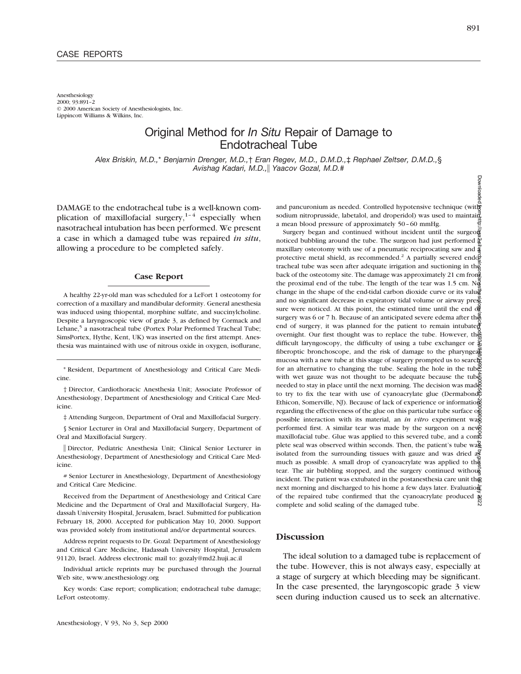Anesthesiology 2000; 93:891–2 © 2000 American Society of Anesthesiologists, Inc. Lippincott Williams & Wilkins, Inc.

# Original Method for *In Situ* Repair of Damage to Endotracheal Tube

*Alex Briskin, M.D.,*\* *Benjamin Drenger, M.D.,*† *Eran Regev, M.D., D.M.D.,*‡ *Rephael Zeltser, D.M.D.,*§ *Avishag Kadari, M.D.,*i *Yaacov Gozal, M.D.#*

DAMAGE to the endotracheal tube is a well-known complication of maxillofacial surgery, $1-4$  especially when nasotracheal intubation has been performed. We present a case in which a damaged tube was repaired *in situ*, allowing a procedure to be completed safely.

#### **Case Report**

A healthy 22-yr-old man was scheduled for a LeFort 1 osteotomy for correction of a maxillary and mandibular deformity. General anesthesia was induced using thiopental, morphine sulfate, and succinylcholine. Despite a laryngoscopic view of grade 3, as defined by Cormack and Lehane,<sup>5</sup> a nasotracheal tube (Portex Polar Preformed Tracheal Tube; SimsPortex, Hythe, Kent, UK) was inserted on the first attempt. Anesthesia was maintained with use of nitrous oxide in oxygen, isoflurane,

\* Resident, Department of Anesthesiology and Critical Care Medicine.

† Director, Cardiothoracic Anesthesia Unit; Associate Professor of Anesthesiology, Department of Anesthesiology and Critical Care Medicine.

‡ Attending Surgeon, Department of Oral and Maxillofacial Surgery.

§ Senior Lecturer in Oral and Maxillofacial Surgery, Department of Oral and Maxillofacial Surgery.

i Director, Pediatric Anesthesia Unit; Clinical Senior Lecturer in Anesthesiology, Department of Anesthesiology and Critical Care Medicine.

# Senior Lecturer in Anesthesiology, Department of Anesthesiology and Critical Care Medicine.

Received from the Department of Anesthesiology and Critical Care Medicine and the Department of Oral and Maxillofacial Surgery, Hadassah University Hospital, Jerusalem, Israel. Submitted for publication February 18, 2000. Accepted for publication May 10, 2000. Support was provided solely from institutional and/or departmental sources.

Address reprint requests to Dr. Gozal: Department of Anesthesiology and Critical Care Medicine, Hadassah University Hospital, Jerusalem 91120, Israel. Address electronic mail to: gozaly@md2.huji.ac.il

Individual article reprints may be purchased through the Journal Web site, www.anesthesiology.org

Key words: Case report; complication; endotracheal tube damage; LeFort osteotomy.

Downloaded and pancuronium as needed. Controlled hypotensive technique (with sodium nitroprusside, labetalol, and droperidol) was used to maintain a mean blood pressure of approximately 50–60 mmHg.

Surgery began and continued without incident until the surgeon noticed bubbling around the tube. The surgeon had just performed  $\frac{1}{n}$ maxillary osteotomy with use of a pneumatic reciprocating saw and  $\bar{\mathbf{\mathsf{a}}}$ protective metal shield, as recommended.<sup>2</sup> A partially severed endo $\frac{a}{b}$ tracheal tube was seen after adequate irrigation and suctioning in the back of the osteotomy site. The damage was approximately 21 cm from the proximal end of the tube. The length of the tear was 1.5 cm.  $N\frac{3}{8}$ change in the shape of the end-tidal carbon dioxide curve or its values and no significant decrease in expiratory tidal volume or airway pres sure were noticed. At this point, the estimated time until the end  $\mathcal{R}$ surgery was 6 or 7 h. Because of an anticipated severe edema after the end of surgery, it was planned for the patient to remain intubated overnight. Our first thought was to replace the tube. However, the difficult laryngoscopy, the difficulty of using a tube exchanger or  $\frac{25}{60}$ fiberoptic bronchoscope, and the risk of damage to the pharyngeal mucosa with a new tube at this stage of surgery prompted us to search for an alternative to changing the tube. Sealing the hole in the tube with wet gauze was not thought to be adequate because the tube needed to stay in place until the next morning. The decision was mad $\delta$ to try to fix the tear with use of cyanoacrylate glue (Dermabond; Ethicon, Somerville, NJ). Because of lack of experience or information regarding the effectiveness of the glue on this particular tube surface org possible interaction with its material, an *in vitro* experiment wage performed first. A similar tear was made by the surgeon on a new maxillofacial tube. Glue was applied to this severed tube, and a com $\vec{E}$ plete seal was observed within seconds. Then, the patient's tube was isolated from the surrounding tissues with gauze and was dried as much as possible. A small drop of cyanoacrylate was applied to the tear. The air bubbling stopped, and the surgery continued without incident. The patient was extubated in the postanesthesia care unit the next morning and discharged to his home a few days later. Evaluation of the repaired tube confirmed that the cyanoacrylate produced as complete and solid sealing of the damaged tube. Downloaded from http://asa2.silverchair.com/anesthesiology/article-pdf/93/3/888/399914/0000542-200009000-00042.pdf by guest on 06 July 2022

# **Discussion**

The ideal solution to a damaged tube is replacement of the tube. However, this is not always easy, especially at a stage of surgery at which bleeding may be significant. In the case presented, the laryngoscopic grade 3 view seen during induction caused us to seek an alternative.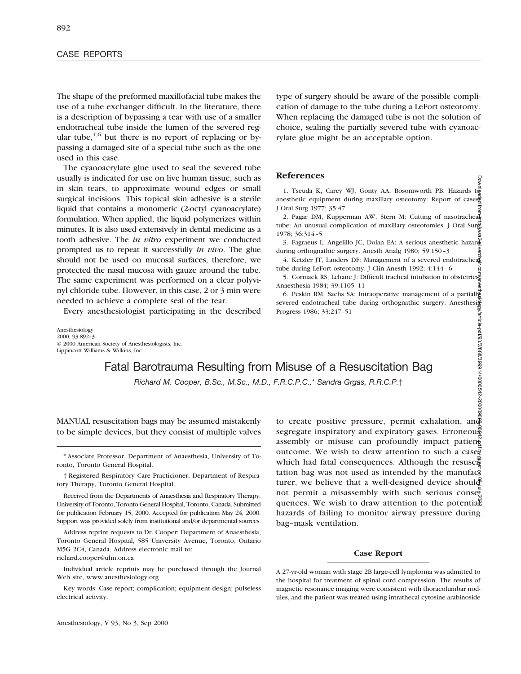The shape of the preformed maxillofacial tube makes the use of a tube exchanger difficult. In the literature, there is a description of bypassing a tear with use of a smaller endotracheal tube inside the lumen of the severed regular tube,  $4,6$  but there is no report of replacing or bypassing a damaged site of a special tube such as the one used in this case.

The cyanoacrylate glue used to seal the severed tube usually is indicated for use on live human tissue, such as in skin tears, to approximate wound edges or small surgical incisions. This topical skin adhesive is a sterile liquid that contains a monomeric (2-octyl cyanoacrylate) formulation. When applied, the liquid polymerizes within minutes. It is also used extensively in dental medicine as a tooth adhesive. The *in vitro* experiment we conducted prompted us to repeat it successfully *in vivo*. The glue should not be used on mucosal surfaces; therefore, we protected the nasal mucosa with gauze around the tube. The same experiment was performed on a clear polyvinyl chloride tube. However, in this case, 2 or 3 min were needed to achieve a complete seal of the tear.

Every anesthesiologist participating in the described

Anesthesiology 2000; 93:892–3 © 2000 American Society of Anesthesiologists, Inc. Lippincott Williams & Wilkins, Inc.

type of surgery should be aware of the possible complication of damage to the tube during a LeFort osteotomy. When replacing the damaged tube is not the solution of choice, sealing the partially severed tube with cyanoacrylate glue might be an acceptable option.

#### **References**

1. Tseuda K, Carey WJ, Gonty AA, Bosomworth PB: Hazards  $t\frac{3}{96}$ anesthetic equipment during maxillary osteotomy: Report of cases J Oral Surg 1977; 35:47

2. Pagar DM, Kupperman AW, Stern M: Cutting of nasotracheal tube: An unusual complication of maxillary osteotomies. J Oral Surg 1978; 36:314–5

3. Fagraeus L, Angelillo JC, Dolan EA: A serious anesthetic hazar during orthognathic surgery. Anesth Analg 1980; 59:150–3

4. Ketzler JT, Landers DF: Management of a severed endotracheal tube during LeFort osteotomy. J Clin Anesth 1992; 4:144–6

5. Cormack RS, Lehane J: Difficult tracheal intubation in obstetrics. Anaesthesia 1984; 39:1105–11

6. Peskin RM, Sachs SA: Intraoperative management of a partially severed endotracheal tube during orthognathic surgery. Anesthesia<br>Progress 1986; 33:247-51<br>Progress 1986; 33:247-51<br>The straight of the Results Citation Bages are also assumed to the straight of the straight of the straigh Progress 1986; 33:247–51 Downloaded from http://asa2.silverchair.com/anesthesiology/article-pdf/93/3/888/399914/0000542-200009000-00042.pdf by guest on 06 July 2022

to create positive pressure, permit exhalation, and segregate inspiratory and expiratory gases. Erroneous assembly or misuse can profoundly impact patients outcome. We wish to draw attention to such a case. which had fatal consequences. Although the resuscitation bag was not used as intended by the manufac $\tilde{g}$ turer, we believe that a well-designed device shoul $\Phi$ 

# Fatal Barotrauma Resulting from Misuse of a Resuscitation Bag

*Richard M. Cooper, B.Sc., M.Sc., M.D., F.R.C.P.C.,*\* *Sandra Grgas, R.R.C.P.*†

MANUAL resuscitation bags may be assumed mistakenly to be simple devices, but they consist of multiple valves

† Registered Respiratory Care Practicioner, Department of Respiratory Therapy, Toronto General Hospital.

Received from the Departments of Anaesthesia and Respiratory Therapy, University of Toronto, Toronto General Hospital, Toronto, Canada. Submitted for publication February 15, 2000. Accepted for publication May 24, 2000. Support was provided solely from institutional and/or departmental sources.

Address reprint requests to Dr. Cooper: Department of Anaesthesia, Toronto General Hospital, 585 University Avenue, Toronto, Ontario M5G 2C4, Canada. Address electronic mail to: richard.cooper@uhn.on.ca

Individual article reprints may be purchased through the Journal Web site, www.anesthesiology.org

Key words: Case report; complication; equipment design; pulseless electrical activity.

not permit a misassembly with such serious conse $\bar{\xi}$ quences. We wish to draw attention to the potential hazards of failing to monitor airway pressure during bag–mask ventilation. **Case Report**

> A 27-yr-old woman with stage 2B large-cell lymphoma was admitted to the hospital for treatment of spinal cord compression. The results of magnetic resonance imaging were consistent with thoracolumbar nodules, and the patient was treated using intrathecal cytosine arabinoside

Anesthesiology, V 93, No 3, Sep 2000

<sup>\*</sup> Associate Professor, Department of Anaesthesia, University of Toronto, Toronto General Hospital.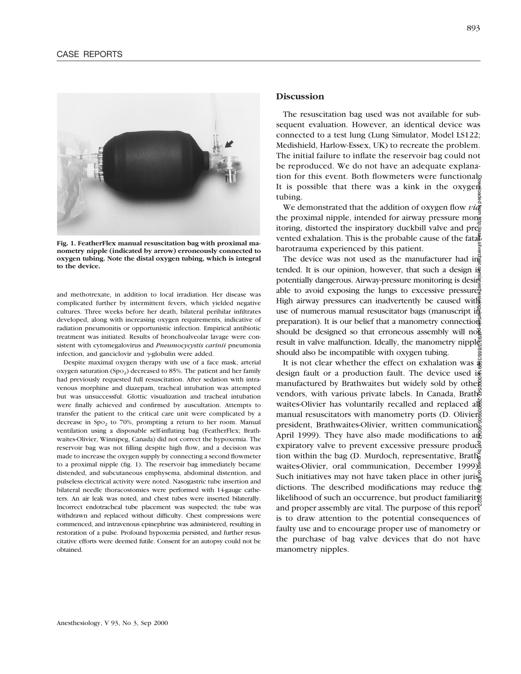

**Fig. 1. FeatherFlex manual resuscitation bag with proximal manometry nipple (indicated by arrow) erroneously connected to oxygen tubing. Note the distal oxygen tubing, which is integral to the device.**

and methotrexate, in addition to local irradiation. Her disease was complicated further by intermittent fevers, which yielded negative cultures. Three weeks before her death, bilateral perihilar infiltrates developed, along with increasing oxygen requirements, indicative of radiation pneumonitis or opportunistic infection. Empirical antibiotic treatment was initiated. Results of bronchoalveolar lavage were consistent with cytomegalovirus and *Pneumocycystis carinii* pneumonia infection, and ganciclovir and  $\gamma$ -globulin were added.

Despite maximal oxygen therapy with use of a face mask, arterial oxygen saturation (Spo<sub>2</sub>) decreased to 85%. The patient and her family had previously requested full resuscitation. After sedation with intravenous morphine and diazepam, tracheal intubation was attempted but was unsuccessful. Glottic visualization and tracheal intubation were finally achieved and confirmed by auscultation. Attempts to transfer the patient to the critical care unit were complicated by a decrease in Spo<sub>2</sub> to 70%, prompting a return to her room. Manual ventilation using a disposable self-inflating bag (FeatherFlex; Brathwaites-Olivier, Winnipeg, Canada) did not correct the hypoxemia. The reservoir bag was not filling despite high flow, and a decision was made to increase the oxygen supply by connecting a second flowmeter to a proximal nipple (fig. 1). The reservoir bag immediately became distended, and subcutaneous emphysema, abdominal distention, and pulseless electrical activity were noted. Nasogastric tube insertion and bilateral needle thoracostomies were performed with 14-gauge catheters. An air leak was noted, and chest tubes were inserted bilaterally. Incorrect endotracheal tube placement was suspected; the tube was withdrawn and replaced without difficulty. Chest compressions were commenced, and intravenous epinephrine was administered, resulting in restoration of a pulse. Profound hypoxemia persisted, and further resuscitative efforts were deemed futile. Consent for an autopsy could not be obtained.

## **Discussion**

The resuscitation bag used was not available for subsequent evaluation. However, an identical device was connected to a test lung (Lung Simulator, Model LS122; Medishield, Harlow-Essex, UK) to recreate the problem. The initial failure to inflate the reservoir bag could not be reproduced. We do not have an adequate explanation for this event. Both flowmeters were functional. It is possible that there was a kink in the oxygen tubing.

We demonstrated that the addition of oxygen flow *via* the proximal nipple, intended for airway pressure mon itoring, distorted the inspiratory duckbill valve and pre $\ddot{\tilde{s}}$ vented exhalation. This is the probable cause of the fatal barotrauma experienced by this patient.

The device was not used as the manufacturer had in $\frac{2}{3}$ tended. It is our opinion, however, that such a design is potentially dangerous. Airway-pressure monitoring is desirable to avoid exposing the lungs to excessive pressure. High airway pressures can inadvertently be caused with  $\frac{d}{dx}$ use of numerous manual resuscitator bags (manuscript in preparation). It is our belief that a manometry connection should be designed so that erroneous assembly will not result in valve malfunction. Ideally, the manometry nipple should also be incompatible with oxygen tubing.

It is not clear whether the effect on exhalation was  $\ddot{\mathbf{g}}$ design fault or a production fault. The device used is manufactured by Brathwaites but widely sold by other vendors, with various private labels. In Canada, Brathwaites-Olivier has voluntarily recalled and replaced algebra. manual resuscitators with manometry ports (D. Olivier<sup>8</sup> president, Brathwaites-Olivier, written communication<sub>g</sub> April 1999). They have also made modifications to  $a\ddot{x}$ . expiratory valve to prevent excessive pressure produce tion within the bag (D. Murdoch, representative, Brathwaites-Olivier, oral communication, December 1999). Such initiatives may not have taken place in other jurisdictions. The described modifications may reduce the likelihood of such an occurrence, but product familiarity and proper assembly are vital. The purpose of this report is to draw attention to the potential consequences of faulty use and to encourage proper use of manometry or the purchase of bag valve devices that do not have manometry nipples. Downloaded from http://asa2.silverchair.com/anesthesiology/article-pdf/93/3/888/399914/0000542-200009000-00042.pdf by guest on 06 July 2022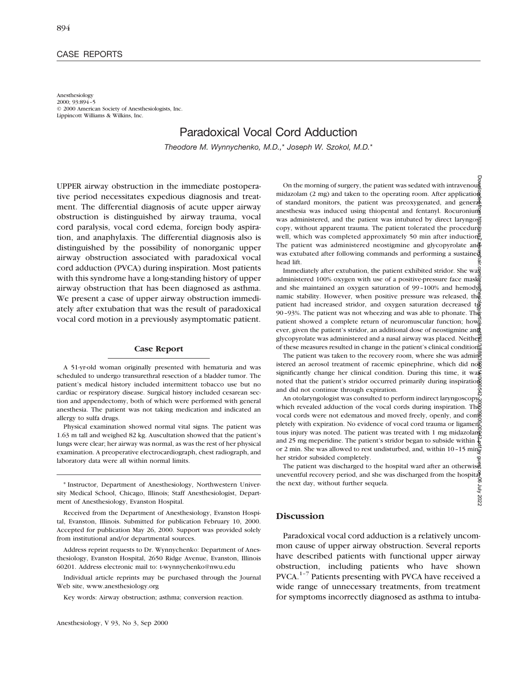#### CASE REPORTS

Anesthesiology 2000; 93:894–5 © 2000 American Society of Anesthesiologists, Inc. Lippincott Williams & Wilkins, Inc.

# Paradoxical Vocal Cord Adduction

*Theodore M. Wynnychenko, M.D.,*\* *Joseph W. Szokol, M.D.*\*

UPPER airway obstruction in the immediate postoperative period necessitates expedious diagnosis and treatment. The differential diagnosis of acute upper airway obstruction is distinguished by airway trauma, vocal cord paralysis, vocal cord edema, foreign body aspiration, and anaphylaxis. The differential diagnosis also is distinguished by the possibility of nonorganic upper airway obstruction associated with paradoxical vocal cord adduction (PVCA) during inspiration. Most patients with this syndrome have a long-standing history of upper airway obstruction that has been diagnosed as asthma. We present a case of upper airway obstruction immediately after extubation that was the result of paradoxical vocal cord motion in a previously asymptomatic patient.

#### **Case Report**

A 51-yr-old woman originally presented with hematuria and was scheduled to undergo transurethral resection of a bladder tumor. The patient's medical history included intermittent tobacco use but no cardiac or respiratory disease. Surgical history included cesarean section and appendectomy, both of which were performed with general anesthesia. The patient was not taking medication and indicated an allergy to sulfa drugs.

Physical examination showed normal vital signs. The patient was 1.63 m tall and weighed 82 kg. Auscultation showed that the patient's lungs were clear; her airway was normal, as was the rest of her physical examination. A preoperative electrocardiograph, chest radiograph, and laboratory data were all within normal limits.

\* Instructor, Department of Anesthesiology, Northwestern University Medical School, Chicago, Illinois; Staff Anesthesiologist, Department of Anesthesiology, Evanston Hospital.

Received from the Department of Anesthesiology, Evanston Hospital, Evanston, Illinois. Submitted for publication February 10, 2000. Accepted for publication May 26, 2000. Support was provided solely from institutional and/or departmental sources.

Address reprint requests to Dr. Wynnychenko: Department of Anesthesiology, Evanston Hospital, 2650 Ridge Avenue, Evanston, Illinois 60201. Address electronic mail to: t-wynnychenko@nwu.edu

Individual article reprints may be purchased through the Journal Web site, www.anesthesiology.org

Key words: Airway obstruction; asthma; conversion reaction.

On the morning of surgery, the patient was sedated with intravenous midazolam  $(2 \text{ mg})$  and taken to the operating room. After application of standard monitors, the patient was preoxygenated, and general anesthesia was induced using thiopental and fentanyl. Rocuronium was administered, and the patient was intubated by direct laryngo $\boldsymbol{\mathrm{g}}$ copy, without apparent trauma. The patient tolerated the procedures well, which was completed approximately 50 min after induction. The patient was administered neostigmine and glycopyrolate and was extubated after following commands and performing a sustained head lift.

Immediately after extubation, the patient exhibited stridor. She was administered 100% oxygen with use of a positive-pressure face mask. and she maintained an oxygen saturation of  $99-100\%$  and hemody namic stability. However, when positive pressure was released, the patient had increased stridor, and oxygen saturation decreased t $\bar{g}$ 90–93%. The patient was not wheezing and was able to phonate. The patient showed a complete return of neuromuscular function; how $\frac{1}{2}$ ever, given the patient's stridor, an additional dose of neostigmine and glycopyrolate was administered and a nasal airway was placed. Neither of these measures resulted in change in the patient's clinical condition. Downloaded from http://asa2.silverchair.com/anesthesiology/article-pdf/93/3/888/399914/0000542-200009000-00042.pdf by guest on 06 July 2022

The patient was taken to the recovery room, where she was adming istered an aerosol treatment of racemic epinephrine, which did not significantly change her clinical condition. During this time, it was noted that the patient's stridor occurred primarily during inspiration and did not continue through expiration.

An otolaryngologist was consulted to perform indirect laryngoscopy, which revealed adduction of the vocal cords during inspiration. The vocal cords were not edematous and moved freely, openly, and cone pletely with expiration. No evidence of vocal cord trauma or ligamen tous injury was noted. The patient was treated with 1 mg midazolam and 25 mg meperidine. The patient's stridor began to subside within  $\frac{1}{8}$ or 2 min. She was allowed to rest undisturbed, and, within  $10-15$  min<sub>2</sub> her stridor subsided completely.

The patient was discharged to the hospital ward after an otherwise uneventful recovery period, and she was discharged from the hospital<br>the next day, without further sequela the next day, without further sequela.

2022<br>2022

## **Discussion**

Paradoxical vocal cord adduction is a relatively uncommon cause of upper airway obstruction. Several reports have described patients with functional upper airway obstruction, including patients who have shown PVCA.1–7 Patients presenting with PVCA have received a wide range of unnecessary treatments, from treatment for symptoms incorrectly diagnosed as asthma to intuba